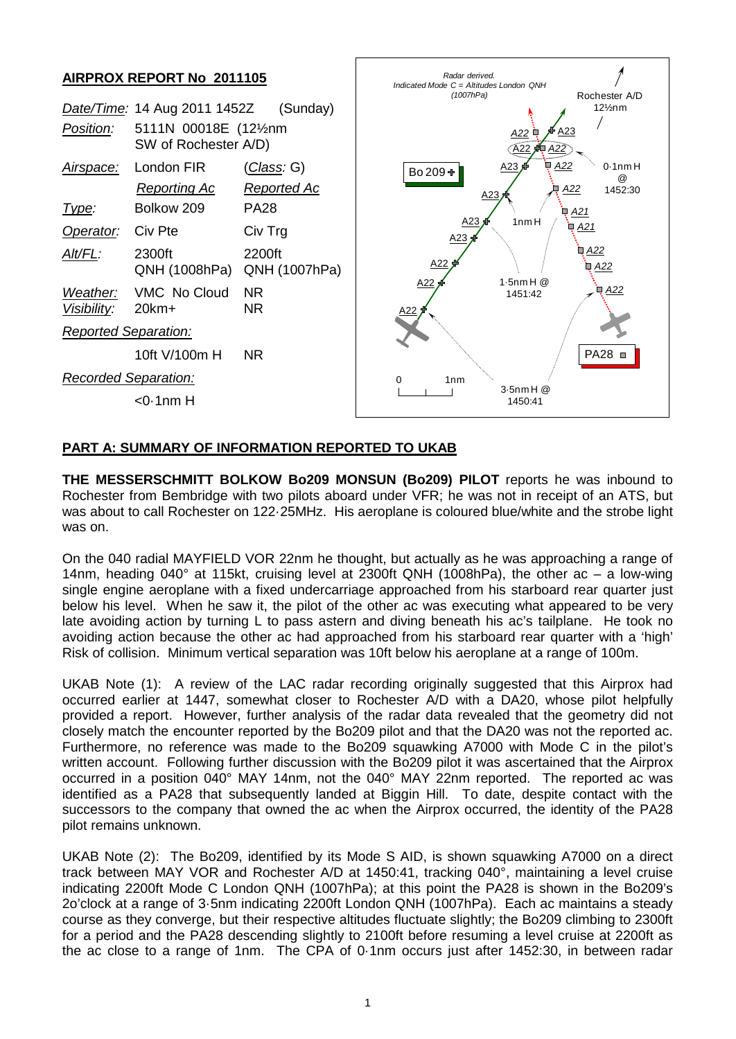

## **PART A: SUMMARY OF INFORMATION REPORTED TO UKAB**

**THE MESSERSCHMITT BOLKOW Bo209 MONSUN (Bo209) PILOT** reports he was inbound to Rochester from Bembridge with two pilots aboard under VFR; he was not in receipt of an ATS, but was about to call Rochester on 122·25MHz. His aeroplane is coloured blue/white and the strobe light was on.

On the 040 radial MAYFIELD VOR 22nm he thought, but actually as he was approaching a range of 14nm, heading 040° at 115kt, cruising level at 2300ft QNH (1008hPa), the other ac – a low-wing single engine aeroplane with a fixed undercarriage approached from his starboard rear quarter just below his level. When he saw it, the pilot of the other ac was executing what appeared to be very late avoiding action by turning L to pass astern and diving beneath his ac's tailplane. He took no avoiding action because the other ac had approached from his starboard rear quarter with a 'high' Risk of collision. Minimum vertical separation was 10ft below his aeroplane at a range of 100m.

UKAB Note (1): A review of the LAC radar recording originally suggested that this Airprox had occurred earlier at 1447, somewhat closer to Rochester A/D with a DA20, whose pilot helpfully provided a report. However, further analysis of the radar data revealed that the geometry did not closely match the encounter reported by the Bo209 pilot and that the DA20 was not the reported ac. Furthermore, no reference was made to the Bo209 squawking A7000 with Mode C in the pilot's written account. Following further discussion with the Bo209 pilot it was ascertained that the Airprox occurred in a position 040° MAY 14nm, not the 040° MAY 22nm reported. The reported ac was identified as a PA28 that subsequently landed at Biggin Hill. To date, despite contact with the successors to the company that owned the ac when the Airprox occurred, the identity of the PA28 pilot remains unknown.

UKAB Note (2): The Bo209, identified by its Mode S AID, is shown squawking A7000 on a direct track between MAY VOR and Rochester A/D at 1450:41, tracking 040°, maintaining a level cruise indicating 2200ft Mode C London QNH (1007hPa); at this point the PA28 is shown in the Bo209's 2o'clock at a range of 3·5nm indicating 2200ft London QNH (1007hPa). Each ac maintains a steady course as they converge, but their respective altitudes fluctuate slightly; the Bo209 climbing to 2300ft for a period and the PA28 descending slightly to 2100ft before resuming a level cruise at 2200ft as the ac close to a range of 1nm. The CPA of 0·1nm occurs just after 1452:30, in between radar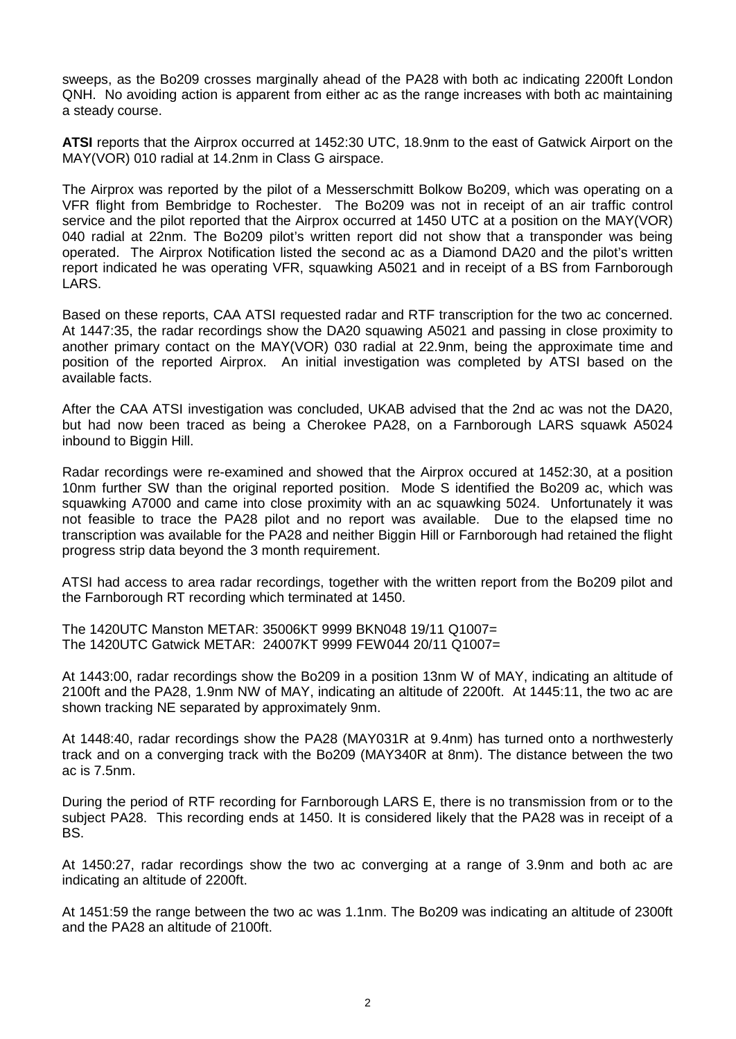sweeps, as the Bo209 crosses marginally ahead of the PA28 with both ac indicating 2200ft London QNH. No avoiding action is apparent from either ac as the range increases with both ac maintaining a steady course.

**ATSI** reports that the Airprox occurred at 1452:30 UTC, 18.9nm to the east of Gatwick Airport on the MAY(VOR) 010 radial at 14.2nm in Class G airspace.

The Airprox was reported by the pilot of a Messerschmitt Bolkow Bo209, which was operating on a VFR flight from Bembridge to Rochester. The Bo209 was not in receipt of an air traffic control service and the pilot reported that the Airprox occurred at 1450 UTC at a position on the MAY(VOR) 040 radial at 22nm. The Bo209 pilot's written report did not show that a transponder was being operated. The Airprox Notification listed the second ac as a Diamond DA20 and the pilot's written report indicated he was operating VFR, squawking A5021 and in receipt of a BS from Farnborough LARS.

Based on these reports, CAA ATSI requested radar and RTF transcription for the two ac concerned. At 1447:35, the radar recordings show the DA20 squawing A5021 and passing in close proximity to another primary contact on the MAY(VOR) 030 radial at 22.9nm, being the approximate time and position of the reported Airprox. An initial investigation was completed by ATSI based on the available facts.

After the CAA ATSI investigation was concluded, UKAB advised that the 2nd ac was not the DA20, but had now been traced as being a Cherokee PA28, on a Farnborough LARS squawk A5024 inbound to Biggin Hill.

Radar recordings were re-examined and showed that the Airprox occured at 1452:30, at a position 10nm further SW than the original reported position. Mode S identified the Bo209 ac, which was squawking A7000 and came into close proximity with an ac squawking 5024. Unfortunately it was not feasible to trace the PA28 pilot and no report was available. Due to the elapsed time no transcription was available for the PA28 and neither Biggin Hill or Farnborough had retained the flight progress strip data beyond the 3 month requirement.

ATSI had access to area radar recordings, together with the written report from the Bo209 pilot and the Farnborough RT recording which terminated at 1450.

The 1420UTC Manston METAR: 35006KT 9999 BKN048 19/11 Q1007= The 1420UTC Gatwick METAR: 24007KT 9999 FEW044 20/11 Q1007=

At 1443:00, radar recordings show the Bo209 in a position 13nm W of MAY, indicating an altitude of 2100ft and the PA28, 1.9nm NW of MAY, indicating an altitude of 2200ft. At 1445:11, the two ac are shown tracking NE separated by approximately 9nm.

At 1448:40, radar recordings show the PA28 (MAY031R at 9.4nm) has turned onto a northwesterly track and on a converging track with the Bo209 (MAY340R at 8nm). The distance between the two ac is 7.5nm.

During the period of RTF recording for Farnborough LARS E, there is no transmission from or to the subject PA28. This recording ends at 1450. It is considered likely that the PA28 was in receipt of a BS.

At 1450:27, radar recordings show the two ac converging at a range of 3.9nm and both ac are indicating an altitude of 2200ft.

At 1451:59 the range between the two ac was 1.1nm. The Bo209 was indicating an altitude of 2300ft and the PA28 an altitude of 2100ft.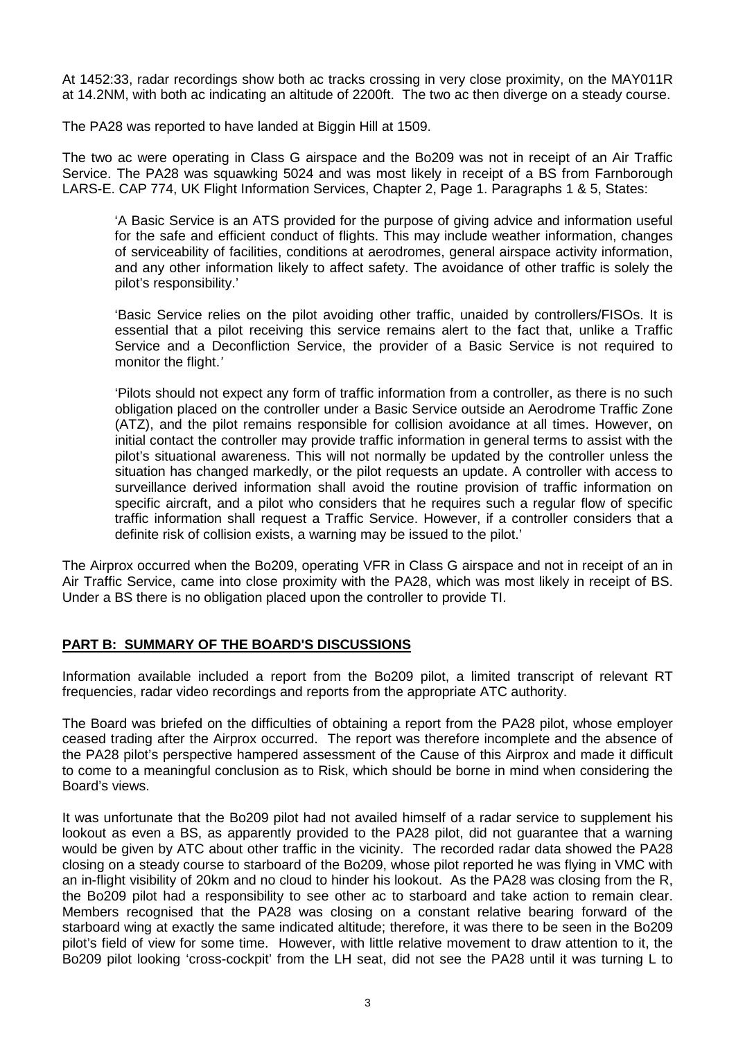At 1452:33, radar recordings show both ac tracks crossing in very close proximity, on the MAY011R at 14.2NM, with both ac indicating an altitude of 2200ft. The two ac then diverge on a steady course.

The PA28 was reported to have landed at Biggin Hill at 1509.

The two ac were operating in Class G airspace and the Bo209 was not in receipt of an Air Traffic Service. The PA28 was squawking 5024 and was most likely in receipt of a BS from Farnborough LARS-E. CAP 774, UK Flight Information Services, Chapter 2, Page 1. Paragraphs 1 & 5, States:

'A Basic Service is an ATS provided for the purpose of giving advice and information useful for the safe and efficient conduct of flights. This may include weather information, changes of serviceability of facilities, conditions at aerodromes, general airspace activity information, and any other information likely to affect safety. The avoidance of other traffic is solely the pilot's responsibility.'

'Basic Service relies on the pilot avoiding other traffic, unaided by controllers/FISOs. It is essential that a pilot receiving this service remains alert to the fact that, unlike a Traffic Service and a Deconfliction Service, the provider of a Basic Service is not required to monitor the flight.*'*

'Pilots should not expect any form of traffic information from a controller, as there is no such obligation placed on the controller under a Basic Service outside an Aerodrome Traffic Zone (ATZ), and the pilot remains responsible for collision avoidance at all times. However, on initial contact the controller may provide traffic information in general terms to assist with the pilot's situational awareness. This will not normally be updated by the controller unless the situation has changed markedly, or the pilot requests an update. A controller with access to surveillance derived information shall avoid the routine provision of traffic information on specific aircraft, and a pilot who considers that he requires such a regular flow of specific traffic information shall request a Traffic Service. However, if a controller considers that a definite risk of collision exists, a warning may be issued to the pilot.'

The Airprox occurred when the Bo209, operating VFR in Class G airspace and not in receipt of an in Air Traffic Service, came into close proximity with the PA28, which was most likely in receipt of BS. Under a BS there is no obligation placed upon the controller to provide TI.

## **PART B: SUMMARY OF THE BOARD'S DISCUSSIONS**

Information available included a report from the Bo209 pilot, a limited transcript of relevant RT frequencies, radar video recordings and reports from the appropriate ATC authority.

The Board was briefed on the difficulties of obtaining a report from the PA28 pilot, whose employer ceased trading after the Airprox occurred. The report was therefore incomplete and the absence of the PA28 pilot's perspective hampered assessment of the Cause of this Airprox and made it difficult to come to a meaningful conclusion as to Risk, which should be borne in mind when considering the Board's views.

It was unfortunate that the Bo209 pilot had not availed himself of a radar service to supplement his lookout as even a BS, as apparently provided to the PA28 pilot, did not guarantee that a warning would be given by ATC about other traffic in the vicinity. The recorded radar data showed the PA28 closing on a steady course to starboard of the Bo209, whose pilot reported he was flying in VMC with an in-flight visibility of 20km and no cloud to hinder his lookout. As the PA28 was closing from the R, the Bo209 pilot had a responsibility to see other ac to starboard and take action to remain clear. Members recognised that the PA28 was closing on a constant relative bearing forward of the starboard wing at exactly the same indicated altitude; therefore, it was there to be seen in the Bo209 pilot's field of view for some time. However, with little relative movement to draw attention to it, the Bo209 pilot looking 'cross-cockpit' from the LH seat, did not see the PA28 until it was turning L to